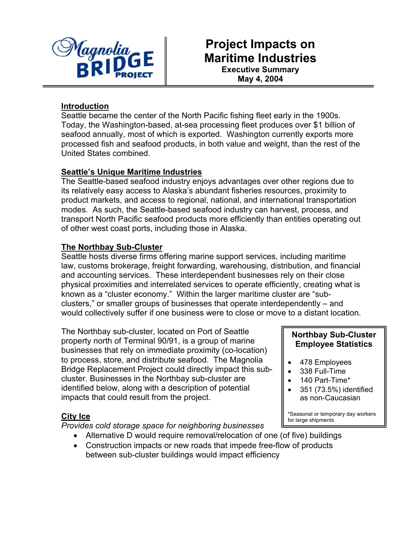

# **Project Impacts on Maritime Industries Executive Summary**

**May 4, 2004** 

#### **Introduction**

Seattle became the center of the North Pacific fishing fleet early in the 1900s. Today, the Washington-based, at-sea processing fleet produces over \$1 billion of seafood annually, most of which is exported. Washington currently exports more processed fish and seafood products, in both value and weight, than the rest of the United States combined.

#### **Seattle's Unique Maritime Industries**

The Seattle-based seafood industry enjoys advantages over other regions due to its relatively easy access to Alaska's abundant fisheries resources, proximity to product markets, and access to regional, national, and international transportation modes. As such, the Seattle-based seafood industry can harvest, process, and transport North Pacific seafood products more efficiently than entities operating out of other west coast ports, including those in Alaska.

#### **The Northbay Sub-Cluster**

Seattle hosts diverse firms offering marine support services, including maritime law, customs brokerage, freight forwarding, warehousing, distribution, and financial and accounting services. These interdependent businesses rely on their close physical proximities and interrelated services to operate efficiently, creating what is known as a "cluster economy." Within the larger maritime cluster are "subclusters," or smaller groups of businesses that operate interdependently – and would collectively suffer if one business were to close or move to a distant location.

The Northbay sub-cluster, located on Port of Seattle property north of Terminal 90/91, is a group of marine businesses that rely on immediate proximity (co-location) to process, store, and distribute seafood. The Magnolia Bridge Replacement Project could directly impact this subcluster. Businesses in the Northbay sub-cluster are identified below, along with a description of potential impacts that could result from the project.

#### **City Ice**

*Provides cold storage space for neighboring businesses* 

- Alternative D would require removal/relocation of one (of five) buildings
- Construction impacts or new roads that impede free-flow of products between sub-cluster buildings would impact efficiency

#### **Northbay Sub-Cluster Employee Statistics**

- 478 Employees
- 338 Full-Time
- 140 Part-Time\*
- 351 (73.5%) identified as non-Caucasian

\*Seasonal or temporary day workers for large shipments